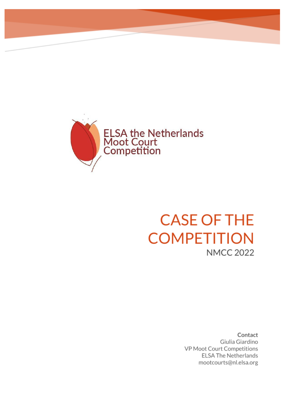

## **CASE OF THE COMPETITION NMCC 2022**

Contact Giulia Giardino VP Moot Court Competitions **ELSA The Netherlands** mootcourts@nl.elsa.org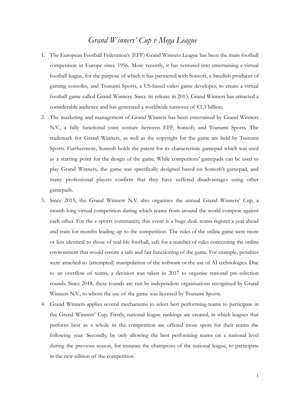## *Grand Winners' Cup v Mega League*

- 1. The European Football Federation's (EFF) Grand Winners League has been the main football competition in Europe since 1956. More recently, it has ventured into entertaining a virtual football league, for the purpose of which it has partnered with Sonsoft, a Swedish producer of gaming consoles, and Tsunami Sports, a US-based video game developer, to create a virtual football game called Grand Winners. Since its release in 2013, Grand Winners has attracted a considerable audience and has generated a worldwide turnover of €1,3 billion.
- 2. The marketing and management of Grand Winners has been entertained by Grand Winners N.V., a fully functional joint venture between EFF, Sonsoft, and Tsunami Sports. The trademark for Grand Winners, as well as the copyright for the game are held by Tsunami Sports. Furthermore, Sonsoft holds the patent for its characteristic gamepad which was used as a starting point for the design of the game. While competitors' gamepads can be used to play Grand Winners, the game was specifically designed based on Sonsoft's gamepad, and many professional players confirm that they have suffered disadvantages using other gamepads.
- 3. Since 2015, the Grand Winners N.V. also organises the annual Grand Winners' Cup, a month-long virtual competition during which teams from around the world compete against each other. For the e-sports community, this event is a huge deal: teams register a year ahead and train for months leading up to the competition. The rules of the online game were more or less identical to those of real-life football, safe for a number of rules concerning the online environment that would ensure a safe and fair functioning of the game. For example, penalties were attached to (attempted) manipulation of the software or the use of AI technologies. Due to an overflow of teams, a decision was taken in 2017 to organise national pre-selection rounds. Since 2018, these rounds are run by independent organisations recognised by Grand Winners N.V., to whom the use of the game was licensed by Tsunami Sports.
- 4. Grand Winners applies several mechanisms to select best performing teams to participate in the Grand Winners' Cup. Firstly, national league rankings are created, in which leagues that perform best as a whole in the competition are offered more spots for their teams the following year. Secondly, by only allowing the best performing teams on a national level during the previous season, for instance the champions of the national league, to participate in the new edition of the competition.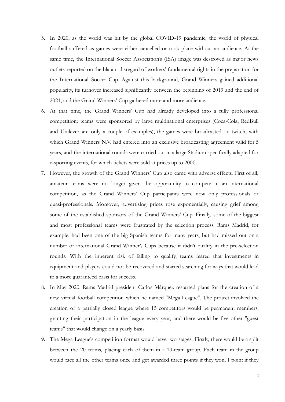- 5. In 2020, as the world was hit by the global COVID-19 pandemic, the world of physical football suffered as games were either cancelled or took place without an audience. At the same time, the International Soccer Association's (ISA) image was destroyed as major news outlets reported on the blatant disregard of workers' fundamental rights in the preparation for the International Soccer Cup. Against this background, Grand Winners gained additional popularity, its turnover increased significantly between the beginning of 2019 and the end of 2021, and the Grand Winners' Cup gathered more and more audience.
- 6. At that time, the Grand Winners' Cup had already developed into a fully professional competition: teams were sponsored by large multinational enterprises (Coca-Cola, RedBull and Unilever are only a couple of examples), the games were broadcasted on twitch, with which Grand Winners N.V. had entered into an exclusive broadcasting agreement valid for 5 years, and the international rounds were carried out in a large Stadium specifically adapted for e-sporting events, for which tickets were sold at prices up to 200€.
- 7. However, the growth of the Grand Winners' Cup also came with adverse effects. First of all, amateur teams were no longer given the opportunity to compete in an international competition, as the Grand Winners' Cup participants were now only professionals or quasi-professionals. Moreover, advertising prices rose exponentially, causing grief among some of the established sponsors of the Grand Winners' Cup. Finally, some of the biggest and most professional teams were frustrated by the selection process. Rams Madrid, for example, had been one of the big Spanish teams for many years, but had missed out on a number of international Grand Winner's Cups because it didn't qualify in the pre-selection rounds. With the inherent risk of failing to qualify, teams feared that investments in equipment and players could not be recovered and started searching for ways that would lead to a more guaranteed basis for success.
- 8. In May 2020, Rams Madrid president Carlos Márquez restarted plans for the creation of a new virtual football competition which he named "Mega League". The project involved the creation of a partially closed league where 15 competitors would be permanent members, granting their participation in the league every year, and there would be five other "guest teams" that would change on a yearly basis.
- 9. The Mega League's competition format would have two stages. Firstly, there would be a split between the 20 teams, placing each of them in a 10-team group. Each team in the group would face all the other teams once and get awarded three points if they won, 1 point if they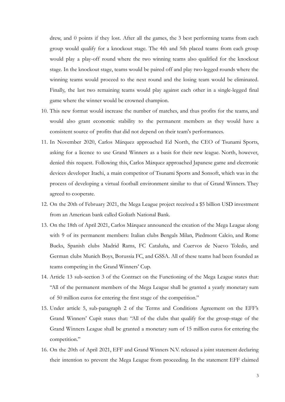drew, and 0 points if they lost. After all the games, the 3 best performing teams from each group would qualify for a knockout stage. The 4th and 5th placed teams from each group would play a play-off round where the two winning teams also qualified for the knockout stage. In the knockout stage, teams would be paired off and play two-legged rounds where the winning teams would proceed to the next round and the losing team would be eliminated. Finally, the last two remaining teams would play against each other in a single-legged final game where the winner would be crowned champion.

- 10. This new format would increase the number of matches, and thus profits for the teams, and would also grant economic stability to the permanent members as they would have a consistent source of profits that did not depend on their team's performances.
- 11. In November 2020, Carlos Márquez approached Ed North, the CEO of Tsunami Sports, asking for a licence to use Grand Winners as a basis for their new league. North, however, denied this request. Following this, Carlos Márquez approached Japanese game and electronic devices developer Itachi, a main competitor of Tsunami Sports and Sonsoft, which was in the process of developing a virtual football environment similar to that of Grand Winners. They agreed to cooperate.
- 12. On the 20th of February 2021, the Mega League project received a \$5 billion USD investment from an American bank called Goliath National Bank.
- 13. On the 18th of April 2021, Carlos Márquez announced the creation of the Mega League along with 9 of its permanent members: Italian clubs Bengals Milan, Piedmont Calcio, and Rome Bucks, Spanish clubs Madrid Rams, FC Cataluña, and Cuervos de Nuevo Toledo, and German clubs Munich Boys, Borussia FC, and GSSA. All of these teams had been founded as teams competing in the Grand Winners' Cup.
- 14. Article 13 sub-section 3 of the Contract on the Functioning of the Mega League states that: "All of the permanent members of the Mega League shall be granted a yearly monetary sum of 50 million euros for entering the first stage of the competition."
- 15. Under article 5, sub-paragraph 2 of the Terms and Conditions Agreement on the EFF's Grand Winners' Cupit states that: "All of the clubs that qualify for the group-stage of the Grand Winners League shall be granted a monetary sum of 15 million euros for entering the competition."
- 16. On the 20th of April 2021, EFF and Grand Winners N.V. released a joint statement declaring their intention to prevent the Mega League from proceeding. In the statement EFF claimed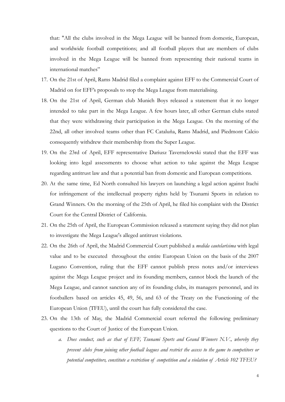that: "All the clubs involved in the Mega League will be banned from domestic, European, and worldwide football competitions; and all football players that are members of clubs involved in the Mega League will be banned from representing their national teams in international matches"

- 17. On the 21st of April, Rams Madrid filed a complaint against EFF to the Commercial Court of Madrid on for EFF's proposals to stop the Mega League from materialising.
- 18. On the 21st of April, German club Munich Boys released a statement that it no longer intended to take part in the Mega League. A few hours later, all other German clubs stated that they were withdrawing their participation in the Mega League. On the morning of the 22nd, all other involved teams other than FC Cataluña, Rams Madrid, and Piedmont Calcio consequently withdrew their membership from the Super League.
- 19. On the 23rd of April, EFF representative Dariusz Tavernelowski stated that the EFF was looking into legal assessments to choose what action to take against the Mega League regarding antitrust law and that a potential ban from domestic and European competitions.
- 20. At the same time, Ed North consulted his lawyers on launching a legal action against Itachi for infringement of the intellectual property rights held by Tsunami Sports in relation to Grand Winners. On the morning of the 25th of April, he filed his complaint with the District Court for the Central District of California.
- 21. On the 25th of April, the European Commission released a statement saying they did not plan to investigate the Mega League's alleged antitrust violations.
- 22. On the 26th of April, the Madrid Commercial Court published a *medida cautelarísima* with legal value and to be executed throughout the entire European Union on the basis of the 2007 Lugano Convention, ruling that the EFF cannot publish press notes and/or interviews against the Mega League project and its founding members, cannot block the launch of the Mega League, and cannot sanction any of its founding clubs, its managers personnel, and its footballers based on articles 45, 49, 56, and 63 of the Treaty on the Functioning of the European Union (TFEU), until the court has fully considered the case.
- 23. On the 13th of May, the Madrid Commercial court referred the following preliminary questions to the Court of Justice of the European Union.
	- *a. Does conduct, such as that of EFF, Tsunami Sports and Grand Winners N.V., whereby they prevent clubs from joining other football leagues and restrict the access to the game to competitors or potential competitors, constitute a restriction of competition and a violation of Article 102 TFEU?*